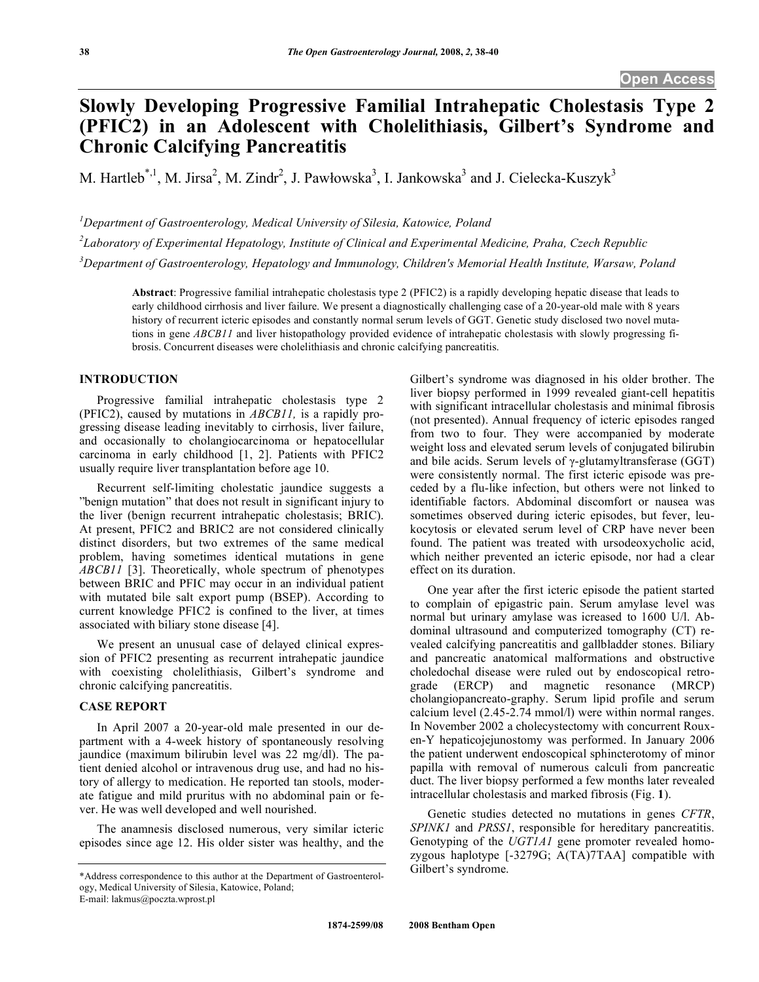# **Slowly Developing Progressive Familial Intrahepatic Cholestasis Type 2 (PFIC2) in an Adolescent with Cholelithiasis, Gilbert's Syndrome and Chronic Calcifying Pancreatitis**

M. Hartleb<sup>\*,1</sup>, M. Jirsa<sup>2</sup>, M. Zindr<sup>2</sup>, J. Pawłowska<sup>3</sup>, I. Jankowska<sup>3</sup> and J. Cielecka-Kuszyk<sup>3</sup>

*1 Department of Gastroenterology, Medical University of Silesia, Katowice, Poland* 

*2 Laboratory of Experimental Hepatology, Institute of Clinical and Experimental Medicine, Praha, Czech Republic* 

*3 Department of Gastroenterology, Hepatology and Immunology, Children's Memorial Health Institute, Warsaw, Poland* 

**Abstract**: Progressive familial intrahepatic cholestasis type 2 (PFIC2) is a rapidly developing hepatic disease that leads to early childhood cirrhosis and liver failure. We present a diagnostically challenging case of a 20-year-old male with 8 years history of recurrent icteric episodes and constantly normal serum levels of GGT. Genetic study disclosed two novel mutations in gene *ABCB11* and liver histopathology provided evidence of intrahepatic cholestasis with slowly progressing fibrosis. Concurrent diseases were cholelithiasis and chronic calcifying pancreatitis.

#### **INTRODUCTION**

 Progressive familial intrahepatic cholestasis type 2 (PFIC2), caused by mutations in *ABCB11,* is a rapidly progressing disease leading inevitably to cirrhosis, liver failure, and occasionally to cholangiocarcinoma or hepatocellular carcinoma in early childhood [1, 2]. Patients with PFIC2 usually require liver transplantation before age 10.

 Recurrent self-limiting cholestatic jaundice suggests a "benign mutation" that does not result in significant injury to the liver (benign recurrent intrahepatic cholestasis; BRIC). At present, PFIC2 and BRIC2 are not considered clinically distinct disorders, but two extremes of the same medical problem, having sometimes identical mutations in gene *ABCB11* [3]. Theoretically, whole spectrum of phenotypes between BRIC and PFIC may occur in an individual patient with mutated bile salt export pump (BSEP). According to current knowledge PFIC2 is confined to the liver, at times associated with biliary stone disease [4].

 We present an unusual case of delayed clinical expression of PFIC2 presenting as recurrent intrahepatic jaundice with coexisting cholelithiasis, Gilbert's syndrome and chronic calcifying pancreatitis.

## **CASE REPORT**

 In April 2007 a 20-year-old male presented in our department with a 4-week history of spontaneously resolving jaundice (maximum bilirubin level was 22 mg/dl). The patient denied alcohol or intravenous drug use, and had no history of allergy to medication. He reported tan stools, moderate fatigue and mild pruritus with no abdominal pain or fever. He was well developed and well nourished.

 The anamnesis disclosed numerous, very similar icteric episodes since age 12. His older sister was healthy, and the liver biopsy performed in 1999 revealed giant-cell hepatitis with significant intracellular cholestasis and minimal fibrosis (not presented). Annual frequency of icteric episodes ranged from two to four. They were accompanied by moderate weight loss and elevated serum levels of conjugated bilirubin and bile acids. Serum levels of  $\gamma$ -glutamyltransferase (GGT) were consistently normal. The first icteric episode was preceded by a flu-like infection, but others were not linked to identifiable factors. Abdominal discomfort or nausea was sometimes observed during icteric episodes, but fever, leukocytosis or elevated serum level of CRP have never been found. The patient was treated with ursodeoxycholic acid, which neither prevented an icteric episode, nor had a clear effect on its duration.

Gilbert's syndrome was diagnosed in his older brother. The

 One year after the first icteric episode the patient started to complain of epigastric pain. Serum amylase level was normal but urinary amylase was icreased to 1600 U/l. Abdominal ultrasound and computerized tomography (CT) revealed calcifying pancreatitis and gallbladder stones. Biliary and pancreatic anatomical malformations and obstructive choledochal disease were ruled out by endoscopical retrograde (ERCP) and magnetic resonance (MRCP) cholangiopancreato-graphy. Serum lipid profile and serum calcium level (2.45-2.74 mmol/l) were within normal ranges. In November 2002 a cholecystectomy with concurrent Rouxen-Y hepaticojejunostomy was performed. In January 2006 the patient underwent endoscopical sphincterotomy of minor papilla with removal of numerous calculi from pancreatic duct. The liver biopsy performed a few months later revealed intracellular cholestasis and marked fibrosis (Fig. **1**).

 Genetic studies detected no mutations in genes *CFTR*, *SPINK1* and *PRSS1*, responsible for hereditary pancreatitis. Genotyping of the *UGT1A1* gene promoter revealed homozygous haplotype [-3279G; A(TA)7TAA] compatible with Gilbert's syndrome.

<sup>\*</sup>Address correspondence to this author at the Department of Gastroenterology, Medical University of Silesia, Katowice, Poland; E-mail: lakmus@poczta.wprost.pl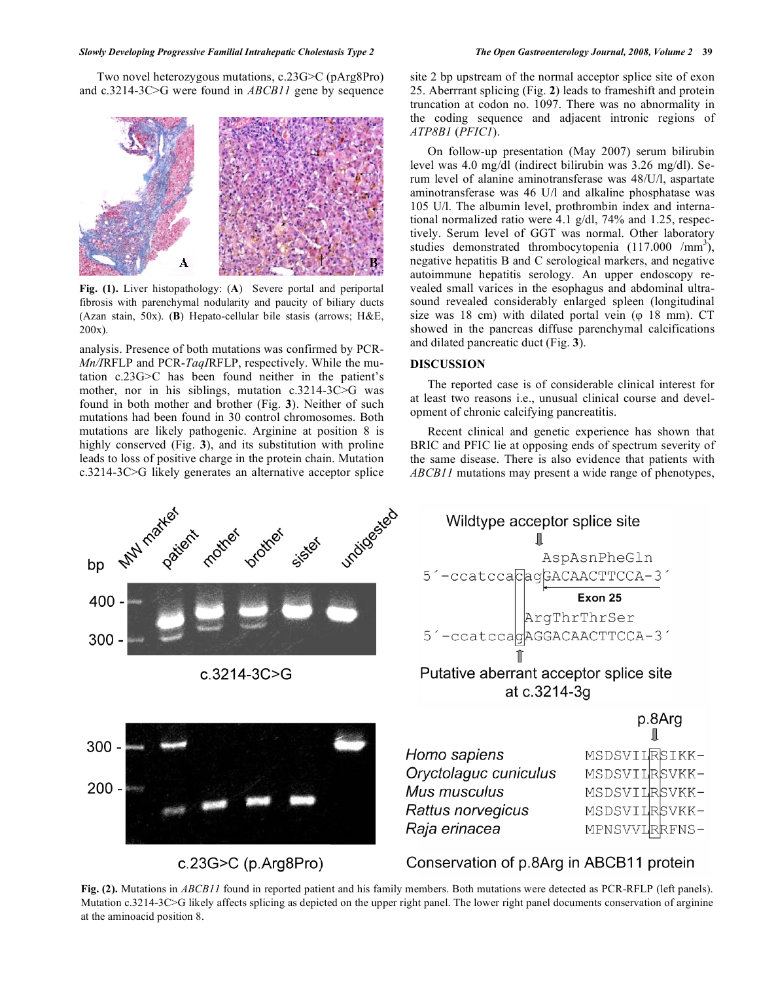Two novel heterozygous mutations, c.23G>C (pArg8Pro) and c.3214-3C>G were found in *ABCB11* gene by sequence



**Fig. (1).** Liver histopathology: (**A**) Severe portal and periportal fibrosis with parenchymal nodularity and paucity of biliary ducts (Azan stain, 50x). (**B**) Hepato-cellular bile stasis (arrows; H&E, 200x).

analysis. Presence of both mutations was confirmed by PCR-*Mn/I*RFLP and PCR-*TaqI*RFLP, respectively. While the mutation c.23G>C has been found neither in the patient's mother, nor in his siblings, mutation c.3214-3C>G was found in both mother and brother (Fig. **3**). Neither of such mutations had been found in 30 control chromosomes. Both mutations are likely pathogenic. Arginine at position 8 is highly conserved (Fig. **3**), and its substitution with proline leads to loss of positive charge in the protein chain. Mutation c.3214-3C>G likely generates an alternative acceptor splice



c.23G $>$ C (p.Arg8Pro)

site 2 bp upstream of the normal acceptor splice site of exon 25. Aberrrant splicing (Fig. **2**) leads to frameshift and protein truncation at codon no. 1097. There was no abnormality in the coding sequence and adjacent intronic regions of *ATP8B1* (*PFIC1*).

 On follow-up presentation (May 2007) serum bilirubin level was 4.0 mg/dl (indirect bilirubin was 3.26 mg/dl). Serum level of alanine aminotransferase was 48/U/l, aspartate aminotransferase was 46 U/l and alkaline phosphatase was 105 U/l. The albumin level, prothrombin index and international normalized ratio were 4.1 g/dl, 74% and 1.25, respectively. Serum level of GGT was normal. Other laboratory studies demonstrated thrombocytopenia  $(117.000 /mm^3)$ , negative hepatitis B and C serological markers, and negative autoimmune hepatitis serology. An upper endoscopy revealed small varices in the esophagus and abdominal ultrasound revealed considerably enlarged spleen (longitudinal size was 18 cm) with dilated portal vein  $(\varphi$  18 mm). CT showed in the pancreas diffuse parenchymal calcifications and dilated pancreatic duct (Fig. **3**).

#### **DISCUSSION**

 The reported case is of considerable clinical interest for at least two reasons i.e., unusual clinical course and development of chronic calcifying pancreatitis.

 Recent clinical and genetic experience has shown that BRIC and PFIC lie at opposing ends of spectrum severity of the same disease. There is also evidence that patients with *ABCB11* mutations may present a wide range of phenotypes,



Mus musculus Rattus norvegicus Raja erinacea

MSDSVILRSVKK-MSDSVILRSVKK-MPNSVVLRRFNS-

# Conservation of p.8Arg in ABCB11 protein

**Fig. (2).** Mutations in *ABCB11* found in reported patient and his family members. Both mutations were detected as PCR-RFLP (left panels). Mutation c.3214-3C>G likely affects splicing as depicted on the upper right panel. The lower right panel documents conservation of arginine at the aminoacid position 8.